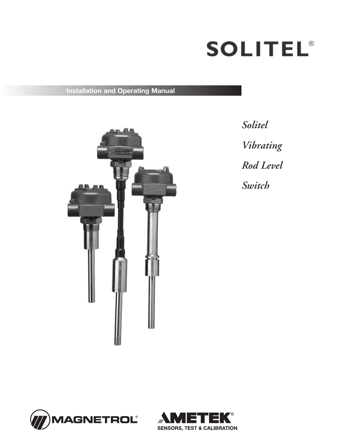

**Installation and Operating Manual**



*Solitel Vibrating Rod Level Switch*



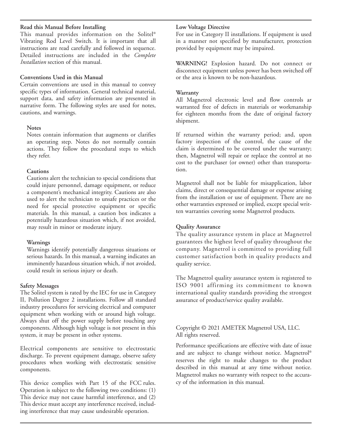### **Read this Manual Before Installing**

This manual provides information on the Solitel ® Vibrating Rod Level Switch. It is important that all instructions are read carefully and followed in sequence. Detailed instructions are included in the *Complete Installation* section of this manual.

### **Conventions Used in this Manual**

Certain conventions are used in this manual to convey specific types of information. General technical material, support data, and safety information are presented in narrative form. The following styles are used for notes, cautions, and warnings.

### **Notes**

Notes contain information that augments or clarifies an operating step. Notes do not normally contain actions. They follow the procedural steps to which they refer.

### **Cautions**

Cautions alert the technician to special conditions that could injure personnel, damage equipment, or reduce a component's mechanical integrity. Cautions are also used to alert the technician to unsafe practices or the need for special protective equipment or specific materials. In this manual, a caution box indicates a potentially hazardous situation which, if not avoided, may result in minor or moderate injury.

## **Warnings**

Warnings identify potentially dangerous situations or serious hazards. In this manual, a warning indicates an imminently hazardous situation which, if not avoided, could result in serious injury or death.

## **Safety Messages**

The Solitel system is rated by the IEC for use in Category II, Pollution Degree 2 installations. Follow all standard industry procedures for servicing electrical and computer equipment when working with or around high voltage. Always shut off the power supply before touching any components. Although high voltage is not present in this system, it may be present in other systems.

Electrical components are sensitive to electrostatic discharge. To prevent equipment damage, observe safety procedures when working with electrostatic sensitive components.

This device complies with Part 15 of the FCC rules. Operation is subject to the following two conditions: (1) This device may not cause harmful interference, and (2) This device must accept any interference received, including interference that may cause undesirable operation.

### **Low Voltage Directive**

For use in Category II installations. If equipment is used in a manner not specified by manufacturer, protection provided by equipment may be impaired.

**WARNING!** Explosion hazard. Do not connect or disconnect equipment unless power has been switched off or the area is known to be non-hazardous.

## **Warranty**

All Magnetrol electronic level and flow controls ar warranted free of defects in materials or workmanship for eighteen months from the date of original factory shipment.

If returned within the warranty period; and, upon factory inspection of the control, the cause of the claim is determined to be covered under the warranty; then, Magnetrol will repair or replace the control at no cost to the purchaser (or owner) other than transportation.

Magnetrol shall not be liable for misapplication, labor claims, direct or consequential damage or expense arising from the installation or use of equipment. There are no other warranties expressed or implied, except special written warranties covering some Magnetrol products.

## **Quality Assurance**

The quality assurance system in place at Magnetrol guarantees the highest level of quality throughout the company. Magnetrol is committed to providing full customer satisfaction both in quality products and quality service.

The Magnetrol quality assurance system is registered to ISO 9001 affirming its commitment to known international quality standards providing the strongest assurance of product/service quality available.

## Copyright © 2021 AMETEK Magnetrol USA, LLC. All rights reserved.

Performance specifications are effective with date of issue and are subject to change without notice. Magnetrol ® reserves the right to make changes to the product described in this manual at any time without notice. Magnetrol makes no warranty with respect to the accuracy of the information in this manual.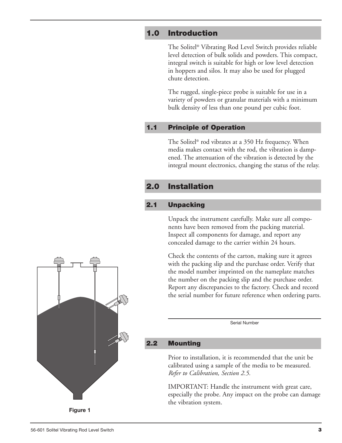# **1.0 Introduction**

The Solitel ® Vibrating Rod Level Switch provides reliable level detection of bulk solids and powders. This compact, integral switch is suitable for high or low level detection in hoppers and silos. It may also be used for plugged chute detection.

The rugged, single-piece probe is suitable for use in a variety of powders or granular materials with a minimum bulk density of less than one pound per cubic foot.

# **1.1 Principle of Operation**

The Solitel ® rod vibrates at a 350 Hz frequency. When media makes contact with the rod, the vibration is dampened. The attenuation of the vibration is detected by the integral mount electronics, changing the status of the relay.

# **2.0 Installation**

# **2.1 Unpacking**

Unpack the instrument carefully. Make sure all components have been removed from the packing material. Inspect all components for damage, and report any concealed damage to the carrier within 24 hours.

Check the contents of the carton, making sure it agrees with the packing slip and the purchase order. Verify that the model number imprinted on the nameplate matches the number on the packing slip and the purchase order. Report any discrepancies to the factory. Check and record the serial number for future reference when ordering parts.

Serial Number

# **2.2 Mounting**

Prior to installation, it is recommended that the unit be calibrated using a sample of the media to be measured. *Refer to Calibration, Section 2.5.*

IMPORTANT: Handle the instrument with great care, especially the probe. Any impact on the probe can damage the vibration system.

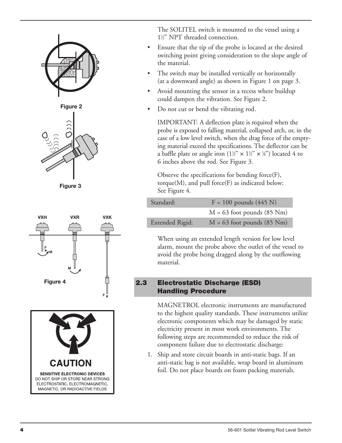



**Figure 3**





The SOLITEL switch is mounted to the vessel using a 1<sup>1/2"</sup> NPT threaded connection.

- Ensure that the tip of the probe is located at the desired switching point giving consideration to the slope angle of the material.
- The switch may be installed vertically or horizontally (at a downward angle) as shown in Figure 1 on page 3.
- Avoid mounting the sensor in a recess where buildup could dampen the vibration. See Figure 2.
- Do not cut or bend the vibrating rod.

IMPORTANT: A deflection plate is required when the probe is exposed to falling material, collapsed arch, or, in the case of a low level switch, when the drag force of the emptying material exceed the specifications. The deflector can be a baffle plate or angle iron (1½"  $\times$  1½"  $\times$  ¼") located 4 to 6 inches above the rod. See Figure 3.

Observe the specifications for bending force(F), torque $(M)$ , and pull force $(F)$  as indicated below: See Figure 4.

| Standard:       | $F = 100$ pounds (445 N)     |
|-----------------|------------------------------|
|                 | $M = 63$ foot pounds (85 Nm) |
| Extended Rigid: | $M = 63$ foot pounds (85 Nm) |

When using an extended length version for low level alarm, mount the probe above the outlet of the vessel to avoid the probe being dragged along by the outflowing material.

# **2.3 Electrostatic Discharge (ESD) Handling Procedure**

MAGNETROL electronic instruments are manufactured to the highest quality standards. These instruments utilize electronic components which may be damaged by static electricity present in most work environments. The following steps are recommended to reduce the risk of component failure due to electrostatic discharge:

1. Ship and store circuit boards in anti-static bags. If an anti-static bag is not available, wrap board in aluminum foil. Do not place boards on foam packing materials.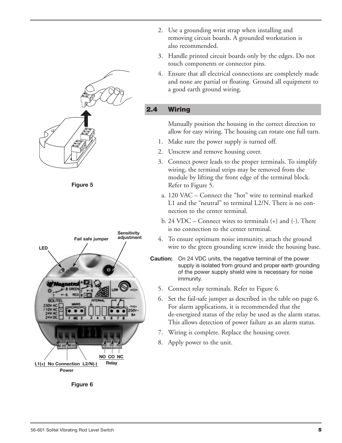

**Figure 5**



**Figure 6**

- 2. Use a grounding wrist strap when installing and removing circuit boards. A grounded workstation is also recommended.
- 3. Handle printed circuit boards only by the edges. Do not touch components or connector pins.
- 4. Ensure that all electrical connections are completely made and none are partial or floating. Ground all equipment to a good earth ground wiring.

# **2.4 Wiring**

Manually position the housing in the correct direction to allow for easy wiring. The housing can rotate one full turn.

- 1. Make sure the power supply is turned off.
- 2. Unscrew and remove housing cover.
- 3. Connect power leads to the proper terminals. To simplify wiring, the terminal strips may be removed from the module by lifting the front edge of the terminal block. Refer to Figure 5.
- a. 120 VAC Connect the "hot" wire to terminal marked L1 and the "neutral" to terminal L2/N. There is no connection to the center terminal.
- b. 24 VDC Connect wires to terminals (+) and (-). There is no connection to the center terminal.
- 4. To ensure optimum noise immunity, attach the ground wire to the green grounding screw inside the housing base.
- **Caution:** On 24 VDC units, the negative terminal of the power supply is isolated from ground and proper earth grounding of the power supply shield wire is necessary for noise immunity.
	- 5. Connect relay terminals. Refer to Figure 6.
	- 6. Set the fail-safe jumper as described in the table on page 6. For alarm applications, it is recommended that the de-energized status of the relay be used as the alarm status. This allows detection of power failure as an alarm status.
	- 7. Wiring is complete. Replace the housing cover.
	- 8. Apply power to the unit.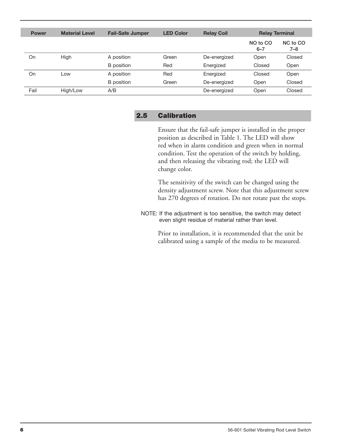| <b>Power</b> | <b>Material Level</b> | <b>Fail-Safe Jumper</b> | <b>LED Color</b> | <b>Relay Coil</b> | <b>Relay Terminal</b> |                 |
|--------------|-----------------------|-------------------------|------------------|-------------------|-----------------------|-----------------|
|              |                       |                         |                  |                   | NO to CO<br>$6 - 7$   | NC to CO<br>7–8 |
| On           | High                  | A position              | Green            | De-energized      | Open                  | Closed          |
|              |                       | B position              | Red              | Energized         | Closed                | Open            |
| On           | Low                   | A position              | Red              | Energized         | Closed                | Open            |
|              |                       | <b>B</b> position       | Green            | De-energized      | Open                  | Closed          |
| Fail         | High/Low              | A/B                     |                  | De-energized      | Open                  | Closed          |

## **2.5 Calibration**

Ensure that the fail-safe jumper is installed in the proper position as described in Table 1. The LED will show red when in alarm condition and green when in normal condition. Test the operation of the switch by holding, and then releasing the vibrating rod; the LED will change color.

The sensitivity of the switch can be changed using the density adjustment screw. Note that this adjustment screw has 270 degrees of rotation. Do not rotate past the stops.

NOTE: If the adjustment is too sensitive, the switch may detect even slight residue of material rather than level.

> Prior to installation, it is recommended that the unit be calibrated using a sample of the media to be measured.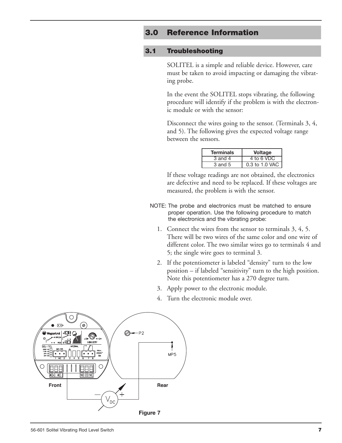# **3.0 Reference Information**

## **3.1 Troubleshooting**

SOLITEL is a simple and reliable device. However, care must be taken to avoid impacting or damaging the vibrating probe.

In the event the SOLITEL stops vibrating, the following procedure will identify if the problem is with the electronic module or with the sensor:

Disconnect the wires going to the sensor. (Terminals 3, 4, and 5). The following gives the expected voltage range between the sensors.

| <b>Terminals</b>     | <b>Voltage</b> |
|----------------------|----------------|
| 3 and $\overline{4}$ | 4 to 6 VDC     |
| 3 and 5              | 0.3 to 1.0 VAC |

If these voltage readings are not obtained, the electronics are defective and need to be replaced. If these voltages are measured, the problem is with the sensor.

- NOTE: The probe and electronics must be matched to ensure proper operation. Use the following procedure to match the electronics and the vibrating probe:
	- 1. Connect the wires from the sensor to terminals 3, 4, 5. There will be two wires of the same color and one wire of different color. The two similar wires go to terminals 4 and 5; the single wire goes to terminal 3.
	- 2. If the potentiometer is labeled "density" turn to the low position – if labeled "sensitivity" turn to the high position. Note this potentiometer has a 270 degree turn.
	- 3. Apply power to the electronic module.
	- 4. Turn the electronic module over.

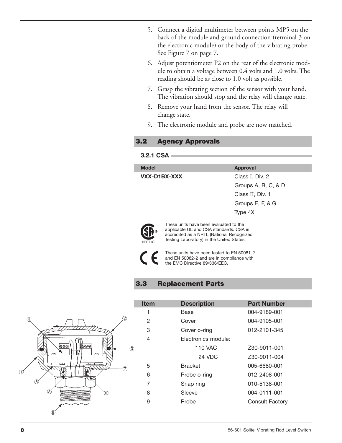- 5. Connect a digital multimeter between points MP5 on the back of the module and ground connection (terminal 3 on the electronic module) or the body of the vibrating probe. See Figure 7 on page 7.
- 6. Adjust potentiometer P2 on the rear of the electronic module to obtain a voltage between 0.4 volts and 1.0 volts. The reading should be as close to 1.0 volt as possible.
- 7. Grasp the vibrating section of the sensor with your hand. The vibration should stop and the relay will change state.
- 8. Remove your hand from the sensor. The relay will change state.
- 9. The electronic module and probe are now matched.

# **3.2 Agency Approvals**

## **3.2.1 CSA**

| <b>Model</b> | <b>Approval</b>     |
|--------------|---------------------|
| VXX-D1BX-XXX | Class I, Div. 2     |
|              | Groups A, B, C, & D |
|              | Class II, Div. 1    |
|              | Groups E, F, & G    |
|              | Type 4X             |
|              |                     |



These units have been evaluated to the applicable UL and CSA standards. CSA is accredited as a NRTL (National Recognized Testing Laboratory) in the United States.

These units have been tested to EN 50081-2 and EN 50082-2 and are in compliance with the EMC Directive 89/336/EEC.

# **3.3 Replacement Parts**



| Item | <b>Description</b>  | <b>Part Number</b> |
|------|---------------------|--------------------|
| 1    | Base                | 004-9189-001       |
| 2    | Cover               | 004-9105-001       |
| 3    | Cover o-ring        | 012-2101-345       |
| 4    | Electronics module: |                    |
|      | 110 VAC             | Z30-9011-001       |
|      | 24 VDC              | Z30-9011-004       |
| 5    | <b>Bracket</b>      | 005-6680-001       |
| 6    | Probe o-ring        | 012-2408-001       |
| 7    | Snap ring           | 010-5138-001       |
| 8    | Sleeve              | 004-0111-001       |
| 9    | Probe               | Consult Factory    |
|      |                     |                    |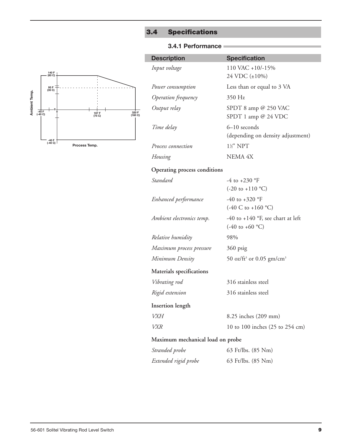# **3.4 Specifications**

## **3.4.1 Performance**



| <b>Description</b>  | <b>Specification</b>                                |
|---------------------|-----------------------------------------------------|
| Input voltage       | 110 VAC +10/-15%<br>24 VDC (±10%)                   |
| Power consumption   | Less than or equal to 3 VA                          |
| Operation frequency | 350 Hz                                              |
| Output relay        | SPDT 8 amp $@$ 250 VAC<br>SPDT 1 amp $@$ 24 VDC     |
| Time delay          | $6-10$ seconds<br>(depending on density adjustment) |
| Process connection  | $1\frac{1}{2}$ " NPT                                |
| Housing             | <b>NEMA 4X</b>                                      |

## **Operating process conditions**

| Standard                  | -4 to +230 $^{\circ}$ F<br>$(-20 \text{ to } +110 \text{ °C})$                       |
|---------------------------|--------------------------------------------------------------------------------------|
| Enhanced performance      | $-40$ to $+320$ °F<br>$(-40 C to +160 °C)$                                           |
| Ambient electronics temp. | -40 to +140 $\textdegree$ F, see chart at left<br>$(-40 \text{ to } +60 \text{ °C})$ |
| Relative humidity         | 98%                                                                                  |
| Maximum process pressure  | 360 psig                                                                             |
| Minimum Density           | 50 oz/ft <sup>3</sup> or 0.05 gm/cm <sup>3</sup>                                     |
| Materials specifications  |                                                                                      |
| Vibrating rod             | 316 stainless steel                                                                  |
| Rigid extension           | 316 stainless steel                                                                  |
| <b>Insertion</b> length   |                                                                                      |
| VXH                       | 8.25 inches (209 mm)                                                                 |
| <i>VXR</i>                | 10 to 100 inches (25 to 254 cm)                                                      |
|                           |                                                                                      |

# **Maximum mechanical load on probe**

| Stranded probe       | 63 Ft/lbs. (85 Nm) |  |
|----------------------|--------------------|--|
| Extended rigid probe | 63 Ft/lbs. (85 Nm) |  |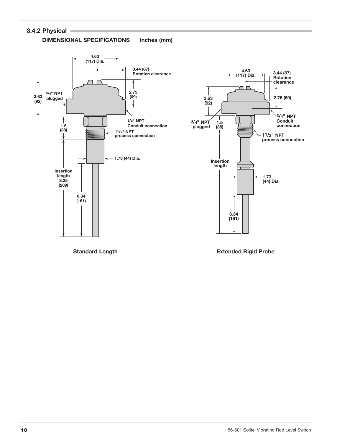# **3.4.2 Physical**



**DIMENSIONAL SPECIFICATIONS inches (mm)**



**Standard Length**

**Extended Rigid Probe**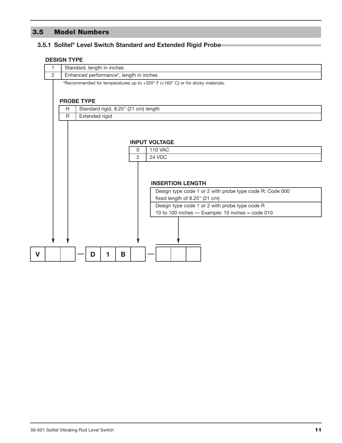# **3.5 Model Numbers**

## **3.5.1 Solitel ® Level Switch Standard and Extended Rigid Probe**

#### **DESIGN TYPE**